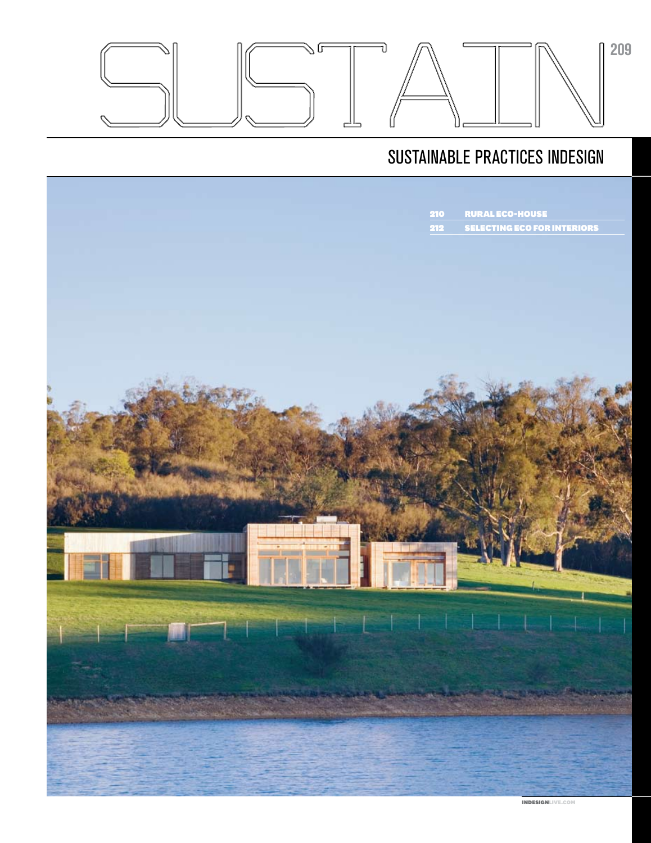

## sustainable practices indesign



indesignlive.com